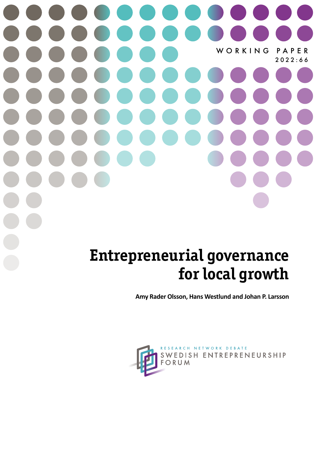# WORKING PAPER 2022:66

# **Entrepreneurial governance for local growth**

**Amy Rader Olsson, Hans Westlund and Johan P. Larsson**

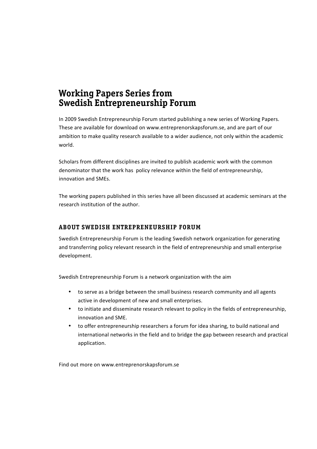## **Working Papers Series from Swedish Entrepreneurship Forum**

In 2009 Swedish Entrepreneurship Forum started publishing a new series of Working Papers. These are available for download on www.entreprenorskapsforum.se, and are part of our ambition to make quality research available to a wider audience, not only within the academic world.

Scholars from different disciplines are invited to publish academic work with the common denominator that the work has policy relevance within the field of entrepreneurship, innovation and SMEs.

The working papers published in this series have all been discussed at academic seminars at the research institution of the author.

### **ABOUT SWEDISH ENTREPRENEURSHIP FORUM**

Swedish Entrepreneurship Forum is the leading Swedish network organization for generating and transferring policy relevant research in the field of entrepreneurship and small enterprise development.

Swedish Entrepreneurship Forum is a network organization with the aim

- to serve as a bridge between the small business research community and all agents active in development of new and small enterprises.
- to initiate and disseminate research relevant to policy in the fields of entrepreneurship, innovation and SME.
- to offer entrepreneurship researchers a forum for idea sharing, to build national and international networks in the field and to bridge the gap between research and practical application.

Find out more on www.entreprenorskapsforum.se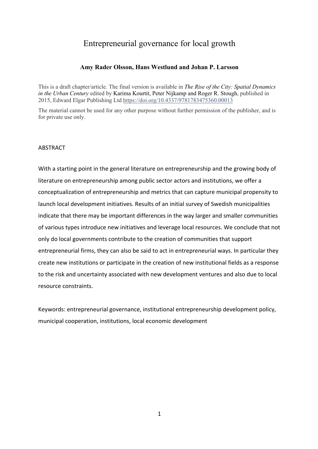### Entrepreneurial governance for local growth

### **Amy Rader Olsson, Hans Westlund and Johan P. Larsson**

This is a draft chapter/article. The final version is available in *The Rise of the City: Spatial Dynamics in the Urban Century* edited by Karima Kourtit, Peter Nijkamp and Roger R. Stough, published in 2015, Edward Elgar Publishing Ltd https://doi.org/10.4337/9781783475360.00013

The material cannot be used for any other purpose without further permission of the publisher, and is for private use only.

### ABSTRACT

With a starting point in the general literature on entrepreneurship and the growing body of literature on entrepreneurship among public sector actors and institutions, we offer a conceptualization of entrepreneurship and metrics that can capture municipal propensity to launch local development initiatives. Results of an initial survey of Swedish municipalities indicate that there may be important differences in the way larger and smaller communities of various types introduce new initiatives and leverage local resources. We conclude that not only do local governments contribute to the creation of communities that support entrepreneurial firms, they can also be said to act in entrepreneurial ways. In particular they create new institutions or participate in the creation of new institutional fields as a response to the risk and uncertainty associated with new development ventures and also due to local resource constraints.

Keywords: entrepreneurial governance, institutional entrepreneurship development policy, municipal cooperation, institutions, local economic development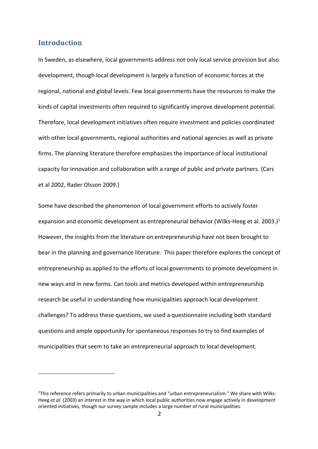### **Introduction**

In Sweden, as elsewhere, local governments address not only local service provision but also development, though local development is largely a function of economic forces at the regional, national and global levels. Few local governments have the resources to make the kinds of capital investments often required to significantly improve development potential. Therefore, local development initiatives often require investment and policies coordinated with other local governments, regional authorities and national agencies as well as private firms. The planning literature therefore emphasizes the importance of local institutional capacity for innovation and collaboration with a range of public and private partners. (Cars et al 2002, Rader Olsson 2009.)

Some have described the phenomenon of local government efforts to actively foster expansion and economic development as entrepreneurial behavior (Wilks-Heeg et al. 2003.)<sup>1</sup> However, the insights from the literature on entrepreneurship have not been brought to bear in the planning and governance literature. This paper therefore explores the concept of entrepreneurship as applied to the efforts of local governments to promote development in new ways and in new forms. Can tools and metrics developed within entrepreneurship research be useful in understanding how municipalities approach local development challenges? To address these questions, we used a questionnaire including both standard questions and ample opportunity for spontaneous responses to try to find examples of municipalities that seem to take an entrepreneurial approach to local development.

<sup>&</sup>lt;sup>1</sup>This reference refers primarily to urban municipalities and "urban entrepreneurialism." We share with Wilks-Heeg *et al.* (2003) an interest in the way in which local public authorities now engage actively in development oriented initiatives, though our survey sample includes a large number of rural municipalities.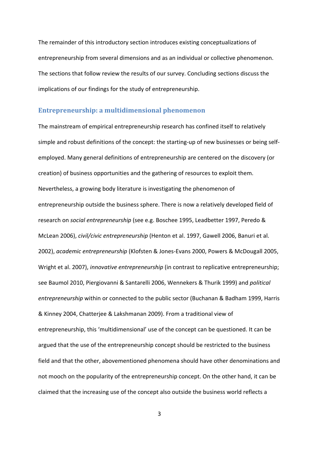The remainder of this introductory section introduces existing conceptualizations of entrepreneurship from several dimensions and as an individual or collective phenomenon. The sections that follow review the results of our survey. Concluding sections discuss the implications of our findings for the study of entrepreneurship.

### **Entrepreneurship: a multidimensional phenomenon**

The mainstream of empirical entrepreneurship research has confined itself to relatively simple and robust definitions of the concept: the starting-up of new businesses or being selfemployed. Many general definitions of entrepreneurship are centered on the discovery (or creation) of business opportunities and the gathering of resources to exploit them. Nevertheless, a growing body literature is investigating the phenomenon of entrepreneurship outside the business sphere. There is now a relatively developed field of research on *social entrepreneurship* (see e.g. Boschee 1995, Leadbetter 1997, Peredo & McLean 2006), *civil/civic entrepreneurship* (Henton et al. 1997, Gawell 2006, Banuri et al. 2002), *academic entrepreneurship* (Klofsten & Jones-Evans 2000, Powers & McDougall 2005, Wright et al. 2007), *innovative entrepreneurship* (in contrast to replicative entrepreneurship; see Baumol 2010, Piergiovanni & Santarelli 2006, Wennekers & Thurik 1999) and *political entrepreneurship* within or connected to the public sector (Buchanan & Badham 1999, Harris & Kinney 2004, Chatterjee & Lakshmanan 2009). From a traditional view of entrepreneurship, this 'multidimensional' use of the concept can be questioned. It can be argued that the use of the entrepreneurship concept should be restricted to the business field and that the other, abovementioned phenomena should have other denominations and not mooch on the popularity of the entrepreneurship concept. On the other hand, it can be claimed that the increasing use of the concept also outside the business world reflects a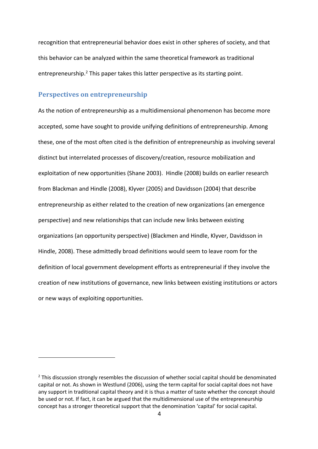recognition that entrepreneurial behavior does exist in other spheres of society, and that this behavior can be analyzed within the same theoretical framework as traditional entrepreneurship.<sup>2</sup> This paper takes this latter perspective as its starting point.

### **Perspectives on entrepreneurship**

As the notion of entrepreneurship as a multidimensional phenomenon has become more accepted, some have sought to provide unifying definitions of entrepreneurship. Among these, one of the most often cited is the definition of entrepreneurship as involving several distinct but interrelated processes of discovery/creation, resource mobilization and exploitation of new opportunities (Shane 2003). Hindle (2008) builds on earlier research from Blackman and Hindle (2008), Klyver (2005) and Davidsson (2004) that describe entrepreneurship as either related to the creation of new organizations (an emergence perspective) and new relationships that can include new links between existing organizations (an opportunity perspective) (Blackmen and Hindle, Klyver, Davidsson in Hindle, 2008). These admittedly broad definitions would seem to leave room for the definition of local government development efforts as entrepreneurial if they involve the creation of new institutions of governance, new links between existing institutions or actors or new ways of exploiting opportunities.

 $<sup>2</sup>$  This discussion strongly resembles the discussion of whether social capital should be denominated</sup> capital or not. As shown in Westlund (2006), using the term capital for social capital does not have any support in traditional capital theory and it is thus a matter of taste whether the concept should be used or not. If fact, it can be argued that the multidimensional use of the entrepreneurship concept has a stronger theoretical support that the denomination 'capital' for social capital.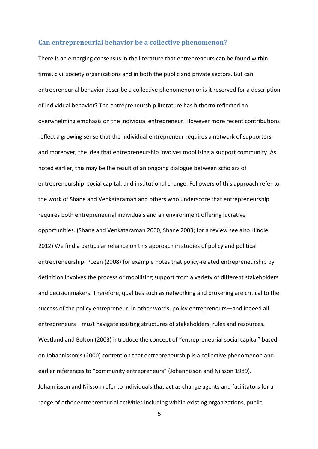### Can entrepreneurial behavior be a collective phenomenon?

There is an emerging consensus in the literature that entrepreneurs can be found within firms, civil society organizations and in both the public and private sectors. But can entrepreneurial behavior describe a collective phenomenon or is it reserved for a description of individual behavior? The entrepreneurship literature has hitherto reflected an overwhelming emphasis on the individual entrepreneur. However more recent contributions reflect a growing sense that the individual entrepreneur requires a network of supporters, and moreover, the idea that entrepreneurship involves mobilizing a support community. As noted earlier, this may be the result of an ongoing dialogue between scholars of entrepreneurship, social capital, and institutional change. Followers of this approach refer to the work of Shane and Venkataraman and others who underscore that entrepreneurship requires both entrepreneurial individuals and an environment offering lucrative opportunities. (Shane and Venkataraman 2000, Shane 2003; for a review see also Hindle 2012) We find a particular reliance on this approach in studies of policy and political entrepreneurship. Pozen (2008) for example notes that policy-related entrepreneurship by definition involves the process or mobilizing support from a variety of different stakeholders and decisionmakers. Therefore, qualities such as networking and brokering are critical to the success of the policy entrepreneur. In other words, policy entrepreneurs—and indeed all entrepreneurs—must navigate existing structures of stakeholders, rules and resources. Westlund and Bolton (2003) introduce the concept of "entrepreneurial social capital" based on Johannisson's (2000) contention that entrepreneurship is a collective phenomenon and earlier references to "community entrepreneurs" (Johannisson and Nilsson 1989). Johannisson and Nilsson refer to individuals that act as change agents and facilitators for a range of other entrepreneurial activities including within existing organizations, public,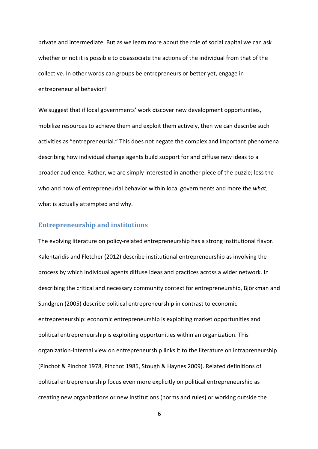private and intermediate. But as we learn more about the role of social capital we can ask whether or not it is possible to disassociate the actions of the individual from that of the collective. In other words can groups be entrepreneurs or better yet, engage in entrepreneurial behavior?

We suggest that if local governments' work discover new development opportunities, mobilize resources to achieve them and exploit them actively, then we can describe such activities as "entrepreneurial." This does not negate the complex and important phenomena describing how individual change agents build support for and diffuse new ideas to a broader audience. Rather, we are simply interested in another piece of the puzzle; less the who and how of entrepreneurial behavior within local governments and more the *what*; what is actually attempted and why.

### **Entrepreneurship and institutions**

The evolving literature on policy-related entrepreneurship has a strong institutional flavor. Kalentaridis and Fletcher (2012) describe institutional entrepreneurship as involving the process by which individual agents diffuse ideas and practices across a wider network. In describing the critical and necessary community context for entrepreneurship, Björkman and Sundgren (2005) describe political entrepreneurship in contrast to economic entrepreneurship: economic entrepreneurship is exploiting market opportunities and political entrepreneurship is exploiting opportunities within an organization. This organization-internal view on entrepreneurship links it to the literature on intrapreneurship (Pinchot & Pinchot 1978, Pinchot 1985, Stough & Haynes 2009). Related definitions of political entrepreneurship focus even more explicitly on political entrepreneurship as creating new organizations or new institutions (norms and rules) or working outside the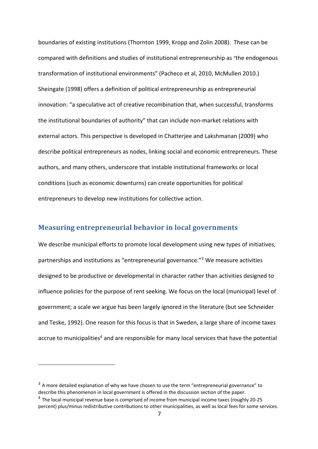boundaries of existing institutions (Thornton 1999, Kropp and Zolin 2008). These can be compared with definitions and studies of institutional entrepreneurship as "the endogenous transformation of institutional environments" (Pacheco et al, 2010, McMullen 2010.) Sheingate (1998) offers a definition of political entrepreneurship as entrepreneurial innovation: "a speculative act of creative recombination that, when successful, transforms the institutional boundaries of authority" that can include non-market relations with external actors. This perspective is developed in Chatterjee and Lakshmanan (2009) who describe political entrepreneurs as nodes, linking social and economic entrepreneurs. These authors, and many others, underscore that instable institutional frameworks or local conditions (such as economic downturns) can create opportunities for political entrepreneurs to develop new institutions for collective action.

### **Measuring entrepreneurial behavior in local governments**

We describe municipal efforts to promote local development using new types of initiatives, partnerships and institutions as "entrepreneurial governance."3 We measure activities designed to be productive or developmental in character rather than activities designed to influence policies for the purpose of rent seeking. We focus on the local (municipal) level of government; a scale we argue has been largely ignored in the literature (but see Schneider and Teske, 1992). One reason for this focus is that in Sweden, a large share of income taxes accrue to municipalities<sup>4</sup> and are responsible for many local services that have the potential

<sup>&</sup>lt;sup>3</sup> A more detailed explanation of why we have chosen to use the term "entrepreneurial governance" to describe this phenomenon in local government is offered in the discussion section of the paper. <sup>4</sup> The local municipal revenue base is comprised of income from municipal income taxes (roughly 20-25 percent) plus/minus redistributive contributions to other municipalities, as well as local fees for some services.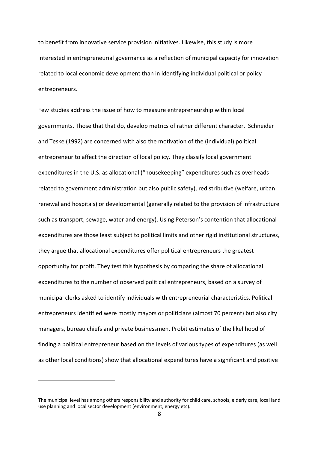to benefit from innovative service provision initiatives. Likewise, this study is more interested in entrepreneurial governance as a reflection of municipal capacity for innovation related to local economic development than in identifying individual political or policy entrepreneurs.

Few studies address the issue of how to measure entrepreneurship within local governments. Those that that do, develop metrics of rather different character. Schneider and Teske (1992) are concerned with also the motivation of the (individual) political entrepreneur to affect the direction of local policy. They classify local government expenditures in the U.S. as allocational ("housekeeping" expenditures such as overheads related to government administration but also public safety), redistributive (welfare, urban renewal and hospitals) or developmental (generally related to the provision of infrastructure such as transport, sewage, water and energy). Using Peterson's contention that allocational expenditures are those least subject to political limits and other rigid institutional structures, they argue that allocational expenditures offer political entrepreneurs the greatest opportunity for profit. They test this hypothesis by comparing the share of allocational expenditures to the number of observed political entrepreneurs, based on a survey of municipal clerks asked to identify individuals with entrepreneurial characteristics. Political entrepreneurs identified were mostly mayors or politicians (almost 70 percent) but also city managers, bureau chiefs and private businessmen. Probit estimates of the likelihood of finding a political entrepreneur based on the levels of various types of expenditures (as well as other local conditions) show that allocational expenditures have a significant and positive

The municipal level has among others responsibility and authority for child care, schools, elderly care, local land use planning and local sector development (environment, energy etc).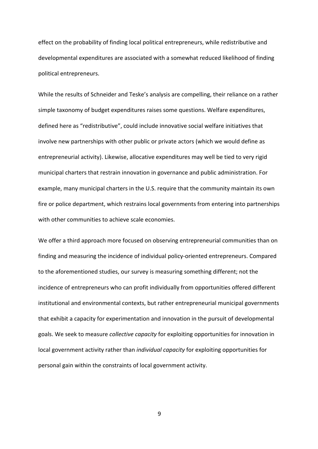effect on the probability of finding local political entrepreneurs, while redistributive and developmental expenditures are associated with a somewhat reduced likelihood of finding political entrepreneurs.

While the results of Schneider and Teske's analysis are compelling, their reliance on a rather simple taxonomy of budget expenditures raises some questions. Welfare expenditures, defined here as "redistributive", could include innovative social welfare initiatives that involve new partnerships with other public or private actors (which we would define as entrepreneurial activity). Likewise, allocative expenditures may well be tied to very rigid municipal charters that restrain innovation in governance and public administration. For example, many municipal charters in the U.S. require that the community maintain its own fire or police department, which restrains local governments from entering into partnerships with other communities to achieve scale economies.

We offer a third approach more focused on observing entrepreneurial communities than on finding and measuring the incidence of individual policy-oriented entrepreneurs. Compared to the aforementioned studies, our survey is measuring something different; not the incidence of entrepreneurs who can profit individually from opportunities offered different institutional and environmental contexts, but rather entrepreneurial municipal governments that exhibit a capacity for experimentation and innovation in the pursuit of developmental goals. We seek to measure *collective capacity* for exploiting opportunities for innovation in local government activity rather than *individual capacity* for exploiting opportunities for personal gain within the constraints of local government activity.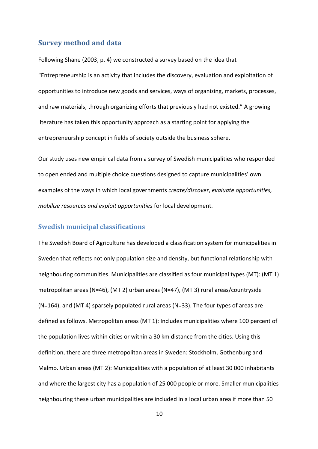### **Survey method and data**

Following Shane (2003, p. 4) we constructed a survey based on the idea that "Entrepreneurship is an activity that includes the discovery, evaluation and exploitation of opportunities to introduce new goods and services, ways of organizing, markets, processes, and raw materials, through organizing efforts that previously had not existed." A growing literature has taken this opportunity approach as a starting point for applying the entrepreneurship concept in fields of society outside the business sphere.

Our study uses new empirical data from a survey of Swedish municipalities who responded to open ended and multiple choice questions designed to capture municipalities' own examples of the ways in which local governments *create/discover*, *evaluate opportunities, mobilize resources and exploit opportunities* for local development.

### **Swedish municipal classifications**

The Swedish Board of Agriculture has developed a classification system for municipalities in Sweden that reflects not only population size and density, but functional relationship with neighbouring communities. Municipalities are classified as four municipal types (MT): (MT 1) metropolitan areas (N=46), (MT 2) urban areas (N=47), (MT 3) rural areas/countryside  $(N=164)$ , and  $(MT 4)$  sparsely populated rural areas  $(N=33)$ . The four types of areas are defined as follows. Metropolitan areas (MT 1): Includes municipalities where 100 percent of the population lives within cities or within a 30 km distance from the cities. Using this definition, there are three metropolitan areas in Sweden: Stockholm, Gothenburg and Malmo. Urban areas (MT 2): Municipalities with a population of at least 30 000 inhabitants and where the largest city has a population of 25 000 people or more. Smaller municipalities neighbouring these urban municipalities are included in a local urban area if more than 50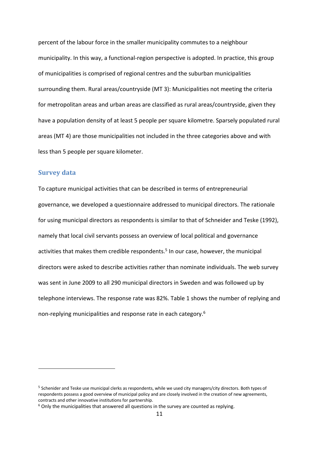percent of the labour force in the smaller municipality commutes to a neighbour municipality. In this way, a functional-region perspective is adopted. In practice, this group of municipalities is comprised of regional centres and the suburban municipalities surrounding them. Rural areas/countryside (MT 3): Municipalities not meeting the criteria for metropolitan areas and urban areas are classified as rural areas/countryside, given they have a population density of at least 5 people per square kilometre. Sparsely populated rural areas (MT 4) are those municipalities not included in the three categories above and with less than 5 people per square kilometer.

### **Survey data**

To capture municipal activities that can be described in terms of entrepreneurial governance, we developed a questionnaire addressed to municipal directors. The rationale for using municipal directors as respondents is similar to that of Schneider and Teske (1992), namely that local civil servants possess an overview of local political and governance activities that makes them credible respondents.<sup>5</sup> In our case, however, the municipal directors were asked to describe activities rather than nominate individuals. The web survey was sent in June 2009 to all 290 municipal directors in Sweden and was followed up by telephone interviews. The response rate was 82%. Table 1 shows the number of replying and non-replying municipalities and response rate in each category.6

<sup>&</sup>lt;sup>5</sup> Schenider and Teske use municipal clerks as respondents, while we used city managers/city directors. Both types of respondents possess a good overview of municipal policy and are closely involved in the creation of new agreements, contracts and other innovative institutions for partnership.

 $6$  Only the municipalities that answered all questions in the survey are counted as replying.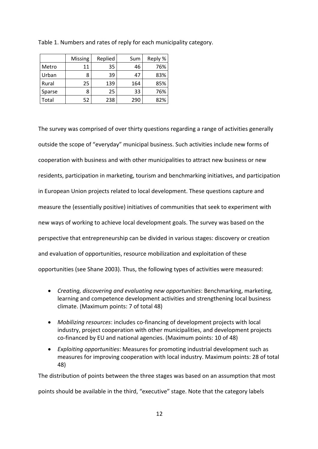|        | <b>Missing</b> | Replied | Sum | Reply % |
|--------|----------------|---------|-----|---------|
| Metro  | 11             | 35      | 46  | 76%     |
| Urban  | 8              | 39      | 47  | 83%     |
| Rural  | 25             | 139     | 164 | 85%     |
| Sparse | 8              | 25      | 33  | 76%     |
| Total  | 52             | 238     | 290 | 82%     |

Table 1. Numbers and rates of reply for each municipality category.

The survey was comprised of over thirty questions regarding a range of activities generally outside the scope of "everyday" municipal business. Such activities include new forms of cooperation with business and with other municipalities to attract new business or new residents, participation in marketing, tourism and benchmarking initiatives, and participation in European Union projects related to local development. These questions capture and measure the (essentially positive) initiatives of communities that seek to experiment with new ways of working to achieve local development goals. The survey was based on the perspective that entrepreneurship can be divided in various stages: discovery or creation and evaluation of opportunities, resource mobilization and exploitation of these opportunities (see Shane 2003). Thus, the following types of activities were measured:

- *Creating, discovering and evaluating new opportunities*: Benchmarking, marketing, learning and competence development activities and strengthening local business climate. (Maximum points: 7 of total 48)
- *Mobilizing resources*: includes co-financing of development projects with local industry, project cooperation with other municipalities, and development projects co-financed by EU and national agencies. (Maximum points: 10 of 48)
- *Exploiting opportunities*: Measures for promoting industrial development such as measures for improving cooperation with local industry. Maximum points: 28 of total 48)

The distribution of points between the three stages was based on an assumption that most

points should be available in the third, "executive" stage. Note that the category labels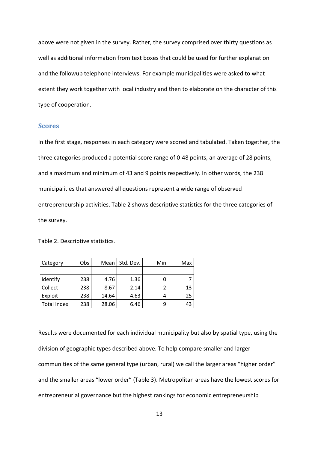above were not given in the survey. Rather, the survey comprised over thirty questions as well as additional information from text boxes that could be used for further explanation and the followup telephone interviews. For example municipalities were asked to what extent they work together with local industry and then to elaborate on the character of this type of cooperation.

### **Scores**

In the first stage, responses in each category were scored and tabulated. Taken together, the three categories produced a potential score range of 0-48 points, an average of 28 points, and a maximum and minimum of 43 and 9 points respectively. In other words, the 238 municipalities that answered all questions represent a wide range of observed entrepreneurship activities. Table 2 shows descriptive statistics for the three categories of the survey.

Table 2. Descriptive statistics.

| Category           | Obs | Mean  | Std. Dev. | Min | Max |
|--------------------|-----|-------|-----------|-----|-----|
|                    |     |       |           |     |     |
| identify           | 238 | 4.76  | 1.36      |     |     |
| Collect            | 238 | 8.67  | 2.14      |     | 13  |
| Exploit            | 238 | 14.64 | 4.63      |     | 25  |
| <b>Total Index</b> | 238 | 28.06 | 6.46      | 9   | 43  |

Results were documented for each individual municipality but also by spatial type, using the division of geographic types described above. To help compare smaller and larger communities of the same general type (urban, rural) we call the larger areas "higher order" and the smaller areas "lower order" (Table 3). Metropolitan areas have the lowest scores for entrepreneurial governance but the highest rankings for economic entrepreneurship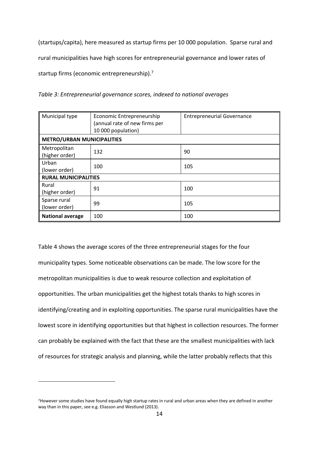(startups/capita), here measured as startup firms per 10 000 population. Sparse rural and rural municipalities have high scores for entrepreneurial governance and lower rates of startup firms (economic entrepreneurship).<sup>7</sup>

*Table 3: Entrepreneurial governance scores, indexed to national averages*

| Municipal type                    | Economic Entrepreneurship<br>(annual rate of new firms per<br>10 000 population) | <b>Entrepreneurial Governance</b> |  |  |  |
|-----------------------------------|----------------------------------------------------------------------------------|-----------------------------------|--|--|--|
| <b>METRO/URBAN MUNICIPALITIES</b> |                                                                                  |                                   |  |  |  |
| Metropolitan<br>(higher order)    | 132                                                                              | 90                                |  |  |  |
| Urban<br>(lower order)            | 100                                                                              | 105                               |  |  |  |
| <b>RURAL MUNICIPALITIES</b>       |                                                                                  |                                   |  |  |  |
| Rural<br>(higher order)           | 91                                                                               | 100                               |  |  |  |
| Sparse rural<br>(lower order)     | 99                                                                               | 105                               |  |  |  |
| <b>National average</b>           | 100                                                                              | 100                               |  |  |  |

Table 4 shows the average scores of the three entrepreneurial stages for the four municipality types. Some noticeable observations can be made. The low score for the metropolitan municipalities is due to weak resource collection and exploitation of opportunities. The urban municipalities get the highest totals thanks to high scores in identifying/creating and in exploiting opportunities. The sparse rural municipalities have the lowest score in identifying opportunities but that highest in collection resources. The former can probably be explained with the fact that these are the smallest municipalities with lack of resources for strategic analysis and planning, while the latter probably reflects that this

<sup>7</sup>However some studies have found equally high startup rates in rural and urban areas when they are defined in another way than in this paper, see e.g. Eliasson and Westlund (2013).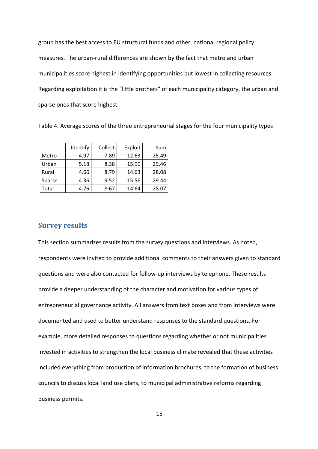group has the best access to EU structural funds and other, national regional policy measures. The urban-rural differences are shown by the fact that metro and urban municipalities score highest in identifying opportunities but lowest in collecting resources. Regarding exploitation it is the "little brothers" of each municipality category, the urban and sparse ones that score highest.

Table 4. Average scores of the three entrepreneurial stages for the four municipality types

|        | Identify | Collect | Exploit | Sum   |
|--------|----------|---------|---------|-------|
| Metro  | 4.97     | 7.89    | 12.63   | 25.49 |
| Urban  | 5.18     | 8.38    | 15.90   | 29.46 |
| Rural  | 4.66     | 8.79    | 14.63   | 28.08 |
| Sparse | 4.36     | 9.52    | 15.56   | 29.44 |
| Total  | 4.76     | 8.67    | 14.64   | 28.07 |

### **Survey results**

This section summarizes results from the survey questions and interviews. As noted, respondents were invited to provide additional comments to their answers given to standard questions and were also contacted for follow-up interviews by telephone. These results provide a deeper understanding of the character and motivation for various types of entrepreneurial governance activity. All answers from text boxes and from interviews were documented and used to better understand responses to the standard questions. For example, more detailed responses to questions regarding whether or not municipalities invested in activities to strengthen the local business climate revealed that these activities included everything from production of information brochures, to the formation of business councils to discuss local land use plans, to municipal administrative reforms regarding business permits.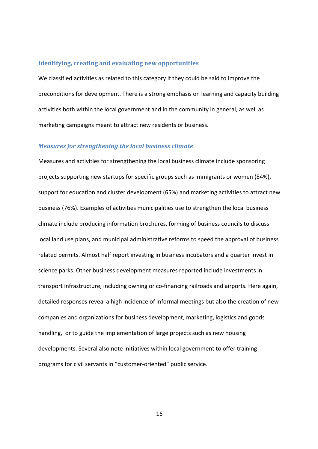### **Identifying, creating and evaluating new opportunities**

We classified activities as related to this category if they could be said to improve the preconditions for development. There is a strong emphasis on learning and capacity building activities both within the local government and in the community in general, as well as marketing campaigns meant to attract new residents or business.

### *Measures for strengthening the local business climate*

Measures and activities for strengthening the local business climate include sponsoring projects supporting new startups for specific groups such as immigrants or women (84%), support for education and cluster development (65%) and marketing activities to attract new business (76%). Examples of activities municipalities use to strengthen the local business climate include producing information brochures, forming of business councils to discuss local land use plans, and municipal administrative reforms to speed the approval of business related permits. Almost half report investing in business incubators and a quarter invest in science parks. Other business development measures reported include investments in transport infrastructure, including owning or co-financing railroads and airports. Here again, detailed responses reveal a high incidence of informal meetings but also the creation of new companies and organizations for business development, marketing, logistics and goods handling, or to guide the implementation of large projects such as new housing developments. Several also note initiatives within local government to offer training programs for civil servants in "customer-oriented" public service.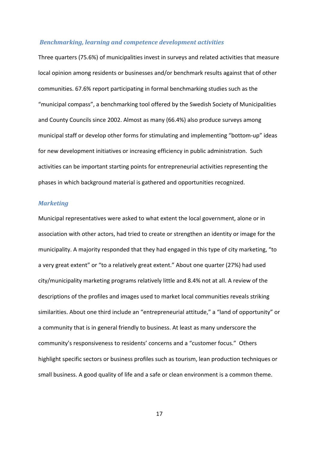### *Benchmarking, learning and competence development activities*

Three quarters (75.6%) of municipalities invest in surveys and related activities that measure local opinion among residents or businesses and/or benchmark results against that of other communities. 67.6% report participating in formal benchmarking studies such as the "municipal compass", a benchmarking tool offered by the Swedish Society of Municipalities and County Councils since 2002. Almost as many (66.4%) also produce surveys among municipal staff or develop other forms for stimulating and implementing "bottom-up" ideas for new development initiatives or increasing efficiency in public administration. Such activities can be important starting points for entrepreneurial activities representing the phases in which background material is gathered and opportunities recognized.

### *Marketing*

Municipal representatives were asked to what extent the local government, alone or in association with other actors, had tried to create or strengthen an identity or image for the municipality. A majority responded that they had engaged in this type of city marketing, "to a very great extent" or "to a relatively great extent." About one quarter (27%) had used city/municipality marketing programs relatively little and 8.4% not at all. A review of the descriptions of the profiles and images used to market local communities reveals striking similarities. About one third include an "entrepreneurial attitude," a "land of opportunity" or a community that is in general friendly to business. At least as many underscore the community's responsiveness to residents' concerns and a "customer focus." Others highlight specific sectors or business profiles such as tourism, lean production techniques or small business. A good quality of life and a safe or clean environment is a common theme.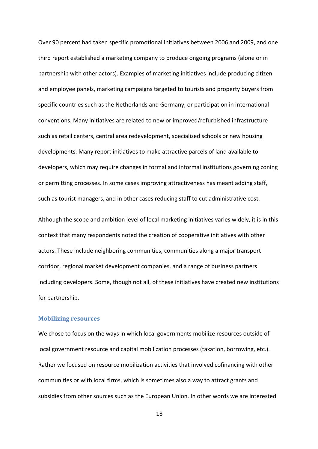Over 90 percent had taken specific promotional initiatives between 2006 and 2009, and one third report established a marketing company to produce ongoing programs (alone or in partnership with other actors). Examples of marketing initiatives include producing citizen and employee panels, marketing campaigns targeted to tourists and property buyers from specific countries such as the Netherlands and Germany, or participation in international conventions. Many initiatives are related to new or improved/refurbished infrastructure such as retail centers, central area redevelopment, specialized schools or new housing developments. Many report initiatives to make attractive parcels of land available to developers, which may require changes in formal and informal institutions governing zoning or permitting processes. In some cases improving attractiveness has meant adding staff, such as tourist managers, and in other cases reducing staff to cut administrative cost.

Although the scope and ambition level of local marketing initiatives varies widely, it is in this context that many respondents noted the creation of cooperative initiatives with other actors. These include neighboring communities, communities along a major transport corridor, regional market development companies, and a range of business partners including developers. Some, though not all, of these initiatives have created new institutions for partnership.

### **Mobilizing resources**

We chose to focus on the ways in which local governments mobilize resources outside of local government resource and capital mobilization processes (taxation, borrowing, etc.). Rather we focused on resource mobilization activities that involved cofinancing with other communities or with local firms, which is sometimes also a way to attract grants and subsidies from other sources such as the European Union. In other words we are interested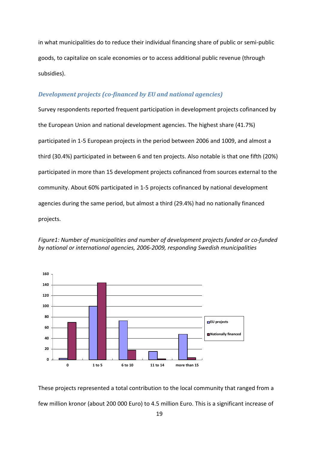in what municipalities do to reduce their individual financing share of public or semi-public goods, to capitalize on scale economies or to access additional public revenue (through subsidies).

### **Development projects (co-financed by EU and national agencies)**

Survey respondents reported frequent participation in development projects cofinanced by the European Union and national development agencies. The highest share (41.7%) participated in 1-5 European projects in the period between 2006 and 1009, and almost a third (30.4%) participated in between 6 and ten projects. Also notable is that one fifth (20%) participated in more than 15 development projects cofinanced from sources external to the community. About 60% participated in 1-5 projects cofinanced by national development agencies during the same period, but almost a third (29.4%) had no nationally financed projects.

**0 20 40 60 80 100 120 140 160 0 1 to 5 6 to 10 11 to 14 more than 15 EU projects Nationally financed**

*Figure1: Number of municipalities and number of development projects funded or co-funded by national or international agencies, 2006-2009, responding Swedish municipalities*

These projects represented a total contribution to the local community that ranged from a few million kronor (about 200 000 Euro) to 4.5 million Euro. This is a significant increase of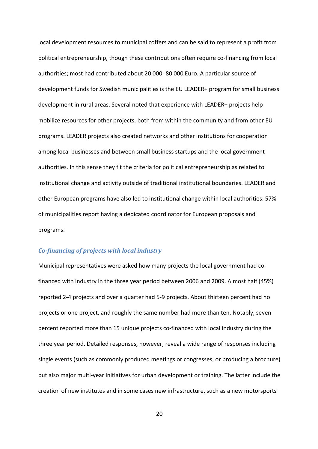local development resources to municipal coffers and can be said to represent a profit from political entrepreneurship, though these contributions often require co-financing from local authorities; most had contributed about 20 000- 80 000 Euro. A particular source of development funds for Swedish municipalities is the EU LEADER+ program for small business development in rural areas. Several noted that experience with LEADER+ projects help mobilize resources for other projects, both from within the community and from other EU programs. LEADER projects also created networks and other institutions for cooperation among local businesses and between small business startups and the local government authorities. In this sense they fit the criteria for political entrepreneurship as related to institutional change and activity outside of traditional institutional boundaries. LEADER and other European programs have also led to institutional change within local authorities: 57% of municipalities report having a dedicated coordinator for European proposals and programs.

### *Co-financing of projects with local industry*

Municipal representatives were asked how many projects the local government had cofinanced with industry in the three year period between 2006 and 2009. Almost half (45%) reported 2-4 projects and over a quarter had 5-9 projects. About thirteen percent had no projects or one project, and roughly the same number had more than ten. Notably, seven percent reported more than 15 unique projects co-financed with local industry during the three year period. Detailed responses, however, reveal a wide range of responses including single events (such as commonly produced meetings or congresses, or producing a brochure) but also major multi-year initiatives for urban development or training. The latter include the creation of new institutes and in some cases new infrastructure, such as a new motorsports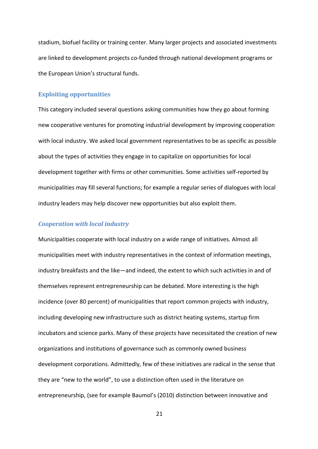stadium, biofuel facility or training center. Many larger projects and associated investments are linked to development projects co-funded through national development programs or the European Union's structural funds.

### **Exploiting opportunities**

This category included several questions asking communities how they go about forming new cooperative ventures for promoting industrial development by improving cooperation with local industry. We asked local government representatives to be as specific as possible about the types of activities they engage in to capitalize on opportunities for local development together with firms or other communities. Some activities self-reported by municipalities may fill several functions; for example a regular series of dialogues with local industry leaders may help discover new opportunities but also exploit them.

### *Cooperation with local industry*

Municipalities cooperate with local industry on a wide range of initiatives. Almost all municipalities meet with industry representatives in the context of information meetings, industry breakfasts and the like—and indeed, the extent to which such activities in and of themselves represent entrepreneurship can be debated. More interesting is the high incidence (over 80 percent) of municipalities that report common projects with industry, including developing new infrastructure such as district heating systems, startup firm incubators and science parks. Many of these projects have necessitated the creation of new organizations and institutions of governance such as commonly owned business development corporations. Admittedly, few of these initiatives are radical in the sense that they are "new to the world", to use a distinction often used in the literature on entrepreneurship, (see for example Baumol's (2010) distinction between innovative and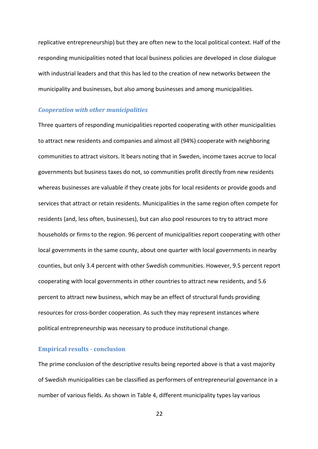replicative entrepreneurship) but they are often new to the local political context. Half of the responding municipalities noted that local business policies are developed in close dialogue with industrial leaders and that this has led to the creation of new networks between the municipality and businesses, but also among businesses and among municipalities.

### *Cooperation with other municipalities*

Three quarters of responding municipalities reported cooperating with other municipalities to attract new residents and companies and almost all (94%) cooperate with neighboring communities to attract visitors. It bears noting that in Sweden, income taxes accrue to local governments but business taxes do not, so communities profit directly from new residents whereas businesses are valuable if they create jobs for local residents or provide goods and services that attract or retain residents. Municipalities in the same region often compete for residents (and, less often, businesses), but can also pool resources to try to attract more households or firms to the region. 96 percent of municipalities report cooperating with other local governments in the same county, about one quarter with local governments in nearby counties, but only 3.4 percent with other Swedish communities. However, 9.5 percent report cooperating with local governments in other countries to attract new residents, and 5.6 percent to attract new business, which may be an effect of structural funds providing resources for cross-border cooperation. As such they may represent instances where political entrepreneurship was necessary to produce institutional change.

### **Empirical results - conclusion**

The prime conclusion of the descriptive results being reported above is that a vast majority of Swedish municipalities can be classified as performers of entrepreneurial governance in a number of various fields. As shown in Table 4, different municipality types lay various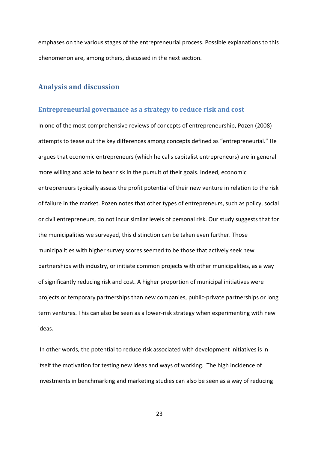emphases on the various stages of the entrepreneurial process. Possible explanations to this phenomenon are, among others, discussed in the next section.

### **Analysis and discussion**

### **Entrepreneurial governance as a strategy to reduce risk and cost**

In one of the most comprehensive reviews of concepts of entrepreneurship, Pozen (2008) attempts to tease out the key differences among concepts defined as "entrepreneurial." He argues that economic entrepreneurs (which he calls capitalist entrepreneurs) are in general more willing and able to bear risk in the pursuit of their goals. Indeed, economic entrepreneurs typically assess the profit potential of their new venture in relation to the risk of failure in the market. Pozen notes that other types of entrepreneurs, such as policy, social or civil entrepreneurs, do not incur similar levels of personal risk. Our study suggests that for the municipalities we surveyed, this distinction can be taken even further. Those municipalities with higher survey scores seemed to be those that actively seek new partnerships with industry, or initiate common projects with other municipalities, as a way of significantly reducing risk and cost. A higher proportion of municipal initiatives were projects or temporary partnerships than new companies, public-private partnerships or long term ventures. This can also be seen as a lower-risk strategy when experimenting with new ideas.

In other words, the potential to reduce risk associated with development initiatives is in itself the motivation for testing new ideas and ways of working. The high incidence of investments in benchmarking and marketing studies can also be seen as a way of reducing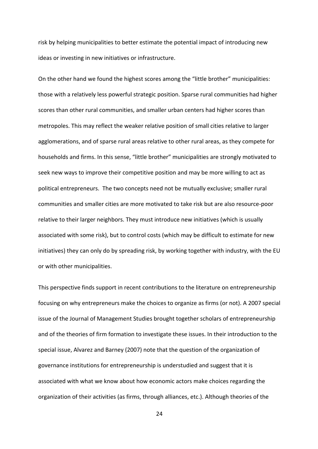risk by helping municipalities to better estimate the potential impact of introducing new ideas or investing in new initiatives or infrastructure.

On the other hand we found the highest scores among the "little brother" municipalities: those with a relatively less powerful strategic position. Sparse rural communities had higher scores than other rural communities, and smaller urban centers had higher scores than metropoles. This may reflect the weaker relative position of small cities relative to larger agglomerations, and of sparse rural areas relative to other rural areas, as they compete for households and firms. In this sense, "little brother" municipalities are strongly motivated to seek new ways to improve their competitive position and may be more willing to act as political entrepreneurs. The two concepts need not be mutually exclusive; smaller rural communities and smaller cities are more motivated to take risk but are also resource-poor relative to their larger neighbors. They must introduce new initiatives (which is usually associated with some risk), but to control costs (which may be difficult to estimate for new initiatives) they can only do by spreading risk, by working together with industry, with the EU or with other municipalities.

This perspective finds support in recent contributions to the literature on entrepreneurship focusing on why entrepreneurs make the choices to organize as firms (or not). A 2007 special issue of the Journal of Management Studies brought together scholars of entrepreneurship and of the theories of firm formation to investigate these issues. In their introduction to the special issue, Alvarez and Barney (2007) note that the question of the organization of governance institutions for entrepreneurship is understudied and suggest that it is associated with what we know about how economic actors make choices regarding the organization of their activities (as firms, through alliances, etc.). Although theories of the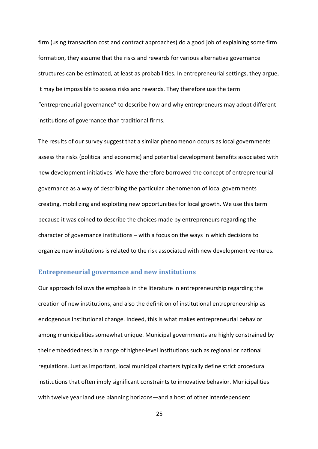firm (using transaction cost and contract approaches) do a good job of explaining some firm formation, they assume that the risks and rewards for various alternative governance structures can be estimated, at least as probabilities. In entrepreneurial settings, they argue, it may be impossible to assess risks and rewards. They therefore use the term "entrepreneurial governance" to describe how and why entrepreneurs may adopt different institutions of governance than traditional firms.

The results of our survey suggest that a similar phenomenon occurs as local governments assess the risks (political and economic) and potential development benefits associated with new development initiatives. We have therefore borrowed the concept of entrepreneurial governance as a way of describing the particular phenomenon of local governments creating, mobilizing and exploiting new opportunities for local growth. We use this term because it was coined to describe the choices made by entrepreneurs regarding the character of governance institutions – with a focus on the ways in which decisions to organize new institutions is related to the risk associated with new development ventures.

### **Entrepreneurial governance and new institutions**

Our approach follows the emphasis in the literature in entrepreneurship regarding the creation of new institutions, and also the definition of institutional entrepreneurship as endogenous institutional change. Indeed, this is what makes entrepreneurial behavior among municipalities somewhat unique. Municipal governments are highly constrained by their embeddedness in a range of higher-level institutions such as regional or national regulations. Just as important, local municipal charters typically define strict procedural institutions that often imply significant constraints to innovative behavior. Municipalities with twelve year land use planning horizons—and a host of other interdependent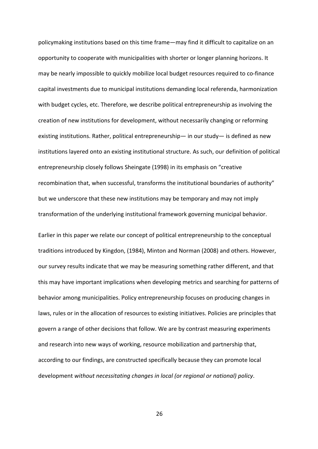policymaking institutions based on this time frame—may find it difficult to capitalize on an opportunity to cooperate with municipalities with shorter or longer planning horizons. It may be nearly impossible to quickly mobilize local budget resources required to co-finance capital investments due to municipal institutions demanding local referenda, harmonization with budget cycles, etc. Therefore, we describe political entrepreneurship as involving the creation of new institutions for development, without necessarily changing or reforming existing institutions. Rather, political entrepreneurship— in our study— is defined as new institutions layered onto an existing institutional structure. As such, our definition of political entrepreneurship closely follows Sheingate (1998) in its emphasis on "creative recombination that, when successful, transforms the institutional boundaries of authority" but we underscore that these new institutions may be temporary and may not imply transformation of the underlying institutional framework governing municipal behavior.

Earlier in this paper we relate our concept of political entrepreneurship to the conceptual traditions introduced by Kingdon, (1984), Minton and Norman (2008) and others. However, our survey results indicate that we may be measuring something rather different, and that this may have important implications when developing metrics and searching for patterns of behavior among municipalities. Policy entrepreneurship focuses on producing changes in laws, rules or in the allocation of resources to existing initiatives. Policies are principles that govern a range of other decisions that follow. We are by contrast measuring experiments and research into new ways of working, resource mobilization and partnership that, according to our findings, are constructed specifically because they can promote local development *without necessitating changes in local (or regional or national) policy*.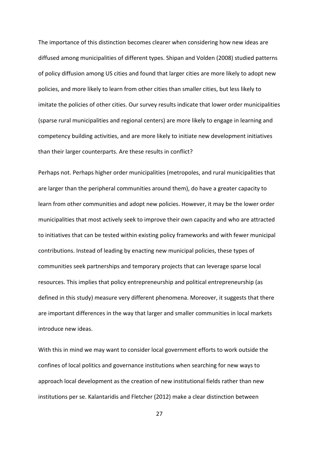The importance of this distinction becomes clearer when considering how new ideas are diffused among municipalities of different types. Shipan and Volden (2008) studied patterns of policy diffusion among US cities and found that larger cities are more likely to adopt new policies, and more likely to learn from other cities than smaller cities, but less likely to imitate the policies of other cities. Our survey results indicate that lower order municipalities (sparse rural municipalities and regional centers) are more likely to engage in learning and competency building activities, and are more likely to initiate new development initiatives than their larger counterparts. Are these results in conflict?

Perhaps not. Perhaps higher order municipalities (metropoles, and rural municipalities that are larger than the peripheral communities around them), do have a greater capacity to learn from other communities and adopt new policies. However, it may be the lower order municipalities that most actively seek to improve their own capacity and who are attracted to initiatives that can be tested within existing policy frameworks and with fewer municipal contributions. Instead of leading by enacting new municipal policies, these types of communities seek partnerships and temporary projects that can leverage sparse local resources. This implies that policy entrepreneurship and political entrepreneurship (as defined in this study) measure very different phenomena. Moreover, it suggests that there are important differences in the way that larger and smaller communities in local markets introduce new ideas.

With this in mind we may want to consider local government efforts to work outside the confines of local politics and governance institutions when searching for new ways to approach local development as the creation of new institutional fields rather than new institutions per se. Kalantaridis and Fletcher (2012) make a clear distinction between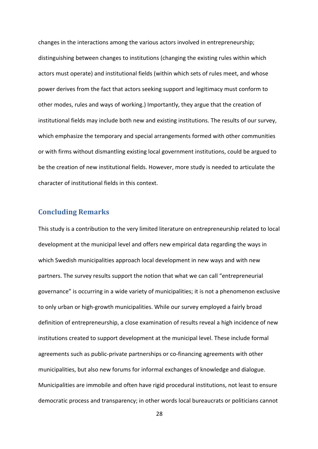changes in the interactions among the various actors involved in entrepreneurship; distinguishing between changes to institutions (changing the existing rules within which actors must operate) and institutional fields (within which sets of rules meet, and whose power derives from the fact that actors seeking support and legitimacy must conform to other modes, rules and ways of working.) Importantly, they argue that the creation of institutional fields may include both new and existing institutions. The results of our survey, which emphasize the temporary and special arrangements formed with other communities or with firms without dismantling existing local government institutions, could be argued to be the creation of new institutional fields. However, more study is needed to articulate the character of institutional fields in this context.

### **Concluding Remarks**

This study is a contribution to the very limited literature on entrepreneurship related to local development at the municipal level and offers new empirical data regarding the ways in which Swedish municipalities approach local development in new ways and with new partners. The survey results support the notion that what we can call "entrepreneurial governance" is occurring in a wide variety of municipalities; it is not a phenomenon exclusive to only urban or high-growth municipalities. While our survey employed a fairly broad definition of entrepreneurship, a close examination of results reveal a high incidence of new institutions created to support development at the municipal level. These include formal agreements such as public-private partnerships or co-financing agreements with other municipalities, but also new forums for informal exchanges of knowledge and dialogue. Municipalities are immobile and often have rigid procedural institutions, not least to ensure democratic process and transparency; in other words local bureaucrats or politicians cannot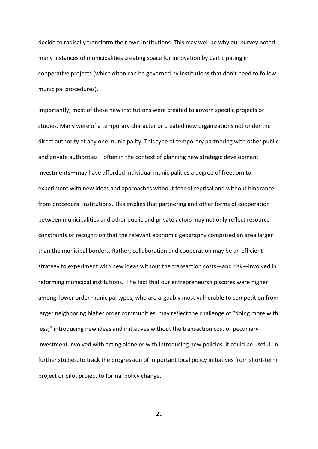decide to radically transform their own institutions. This may well be why our survey noted many instances of municipalities creating space for innovation by participating in cooperative projects (which often can be governed by institutions that don't need to follow municipal procedures).

Importantly, most of these new institutions were created to govern specific projects or studies. Many were of a temporary character or created new organizations not under the direct authority of any one municipality. This type of temporary partnering with other public and private authorities—often in the context of planning new strategic development investments—may have afforded individual municipalities a degree of freedom to experiment with new ideas and approaches without fear of reprisal and without hindrance from procedural institutions. This implies that partnering and other forms of cooperation between municipalities and other public and private actors may not only reflect resource constraints or recognition that the relevant economic geography comprised an area larger than the municipal borders. Rather, collaboration and cooperation may be an efficient strategy to experiment with new ideas without the transaction costs—and risk—involved in reforming municipal institutions. The fact that our entrepreneurship scores were higher among lower order municipal types, who are arguably most vulnerable to competition from larger neighboring higher order communities, may reflect the challenge of "doing more with less;" introducing new ideas and initiatives without the transaction cost or pecuniary investment involved with acting alone or with introducing new policies. It could be useful, in further studies, to track the progression of important local policy initiatives from short-term project or pilot project to formal policy change.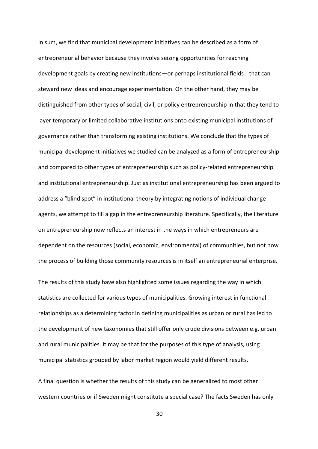In sum, we find that municipal development initiatives can be described as a form of entrepreneurial behavior because they involve seizing opportunities for reaching development goals by creating new institutions—or perhaps institutional fields-- that can steward new ideas and encourage experimentation. On the other hand, they may be distinguished from other types of social, civil, or policy entrepreneurship in that they tend to layer temporary or limited collaborative institutions onto existing municipal institutions of governance rather than transforming existing institutions. We conclude that the types of municipal development initiatives we studied can be analyzed as a form of entrepreneurship and compared to other types of entrepreneurship such as policy-related entrepreneurship and institutional entrepreneurship. Just as institutional entrepreneurship has been argued to address a "blind spot" in institutional theory by integrating notions of individual change agents, we attempt to fill a gap in the entrepreneurship literature. Specifically, the literature on entrepreneurship now reflects an interest in the ways in which entrepreneurs are dependent on the resources (social, economic, environmental) of communities, but not how the process of building those community resources is in itself an entrepreneurial enterprise.

The results of this study have also highlighted some issues regarding the way in which statistics are collected for various types of municipalities. Growing interest in functional relationships as a determining factor in defining municipalities as urban or rural has led to the development of new taxonomies that still offer only crude divisions between e.g. urban and rural municipalities. It may be that for the purposes of this type of analysis, using municipal statistics grouped by labor market region would yield different results.

A final question is whether the results of this study can be generalized to most other western countries or if Sweden might constitute a special case? The facts Sweden has only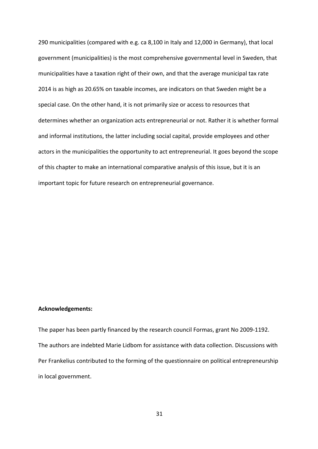290 municipalities (compared with e.g. ca 8,100 in Italy and 12,000 in Germany), that local government (municipalities) is the most comprehensive governmental level in Sweden, that municipalities have a taxation right of their own, and that the average municipal tax rate 2014 is as high as 20.65% on taxable incomes, are indicators on that Sweden might be a special case. On the other hand, it is not primarily size or access to resources that determines whether an organization acts entrepreneurial or not. Rather it is whether formal and informal institutions, the latter including social capital, provide employees and other actors in the municipalities the opportunity to act entrepreneurial. It goes beyond the scope of this chapter to make an international comparative analysis of this issue, but it is an important topic for future research on entrepreneurial governance.

### **Acknowledgements:**

The paper has been partly financed by the research council Formas, grant No 2009-1192. The authors are indebted Marie Lidbom for assistance with data collection. Discussions with Per Frankelius contributed to the forming of the questionnaire on political entrepreneurship in local government.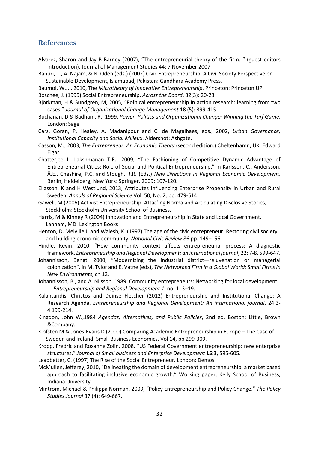### **References**

- Alvarez, Sharon and Jay B Barney (2007), "The entrepreneurial theory of the firm. " (guest editors introduction). Journal of Management Studies 44: 7 November 2007
- Banuri, T., A. Najam, & N. Odeh (eds.) (2002) Civic Entrepreneurship: A Civil Society Perspective on Sustainable Development, Islamabad, Pakistan: Gandhara Academy Press.
- Baumol, W.J. , 2010, The *Microtheory of Innovative Entrepreneurship*. Princeton: Princeton UP.
- Boschee, J. (1995) Social Entrepreneurship. *Across the Board*, 32(3): 20-23.
- Björkman, H & Sundgren, M, 2005, "Political entrepreneurship in action research: learning from two cases." *Journal of Organizational Change Management* **18** (5): 399-415.
- Buchanan, D & Badham, R., 1999, *Power, Politics and Organizational Change: Winning the Turf Game*. London: Sage
- Cars, Goran, P. Healey, A. Madanipour and C. de Magalhaes, eds., 2002, *Urban Governance, Institutional Capacity and Social Milieux*. Aldershot: Ashgate.
- Casson, M., 2003, *The Entrepreneur: An Economic Theory* (second edition.) Cheltenhamn, UK: Edward Elgar.
- Chatterjee L, Lakshmanan T.R., 2009, "The Fashioning of Competitive Dynamic Advantage of Entrepreneurial Cities: Role of Social and Political Entrepreneurship." In Karlsson, C., Andersson, Å.E., Cheshire, P.C. and Stough, R.R. (Eds.) *New Directions in Regional Economic Development*. Berlin, Heidelberg, New York: Springer, 2009: 107-120.
- Eliasson, K and H Westlund, 2013, Attributes Influencing Enterprise Propensity in Urban and Rural Sweden. *Annals of Regional Science* Vol. 50, No. 2, pp. 479-514
- Gawell, M (2006) Activist Entrepreneurship: Attac'ing Norma and Articulating Disclosive Stories, Stockholm: Stockholm University School of Business.
- Harris, M & Kinney R (2004) Innovation and Entrepreneurship in State and Local Government. Lanham, MD: Lexington Books
- Henton, D. Melville J. and Walesh, K. (1997) The age of the civic entrepreneur: Restoring civil society and building economic community, *National Civic Review* 86 pp. 149–156.
- Hindle, Kevin, 2010, "How community context affects entrepreneurial process: A diagnostic framework. *Entrepreneuship and Regional Development: an international journal*, 22: 7-8, 599-647.
- Johannisson, Bengt, 2000, "Modernizing the industrial district—rejuvenation or managerial colonization", in M. Tylor and E. Vatne (eds), *The Networked Firm in a Global World: Small Firms in New Environments*, ch 12.
- Johannisson, B., and A. Nilsson. 1989. Community entrepreneurs: Networking for local development. *Entrepreneurship and Regional Development 1*, no. 1: 3–19.
- Kalantaridis, Christos and Deinse Fletcher (2012) Entrepreneurship and Institutional Change: A Research Agenda. *Entrepreneurship and Regional Development: An international journal*, 24:3- 4 199-214.
- Kingdon, John W.,1984 *Agendas, Alternatives, and Public Policies*, 2nd ed. Boston: Little, Brown &Company.
- Klofsten M & Jones-Evans D (2000) Comparing Academic Entrepreneurship in Europe The Case of Sweden and Ireland. Small Business Economics, Vol 14, pp 299-309.
- Kropp, Fredric and Roxanne Zolin, 2008, "US Federal Government entrepreneurship: new enterprise structures." *Journal of Small business and Enterprise Development* **15**:3, 595-605.
- Leadbetter, C. (1997) The Rise of the Social Entrepreneur. London: Demos.
- McMullen, Jefferey, 2010, "Delineating the domain of development entrepreneurship: a market based approach to facilitating inclusive economic growth." Working paper, Kelly School of Business, Indiana University.
- Mintrom, Michael & Philippa Norman, 2009, "Policy Entrepreneurship and Policy Change." *The Policy Studies Journal* 37 (4): 649-667.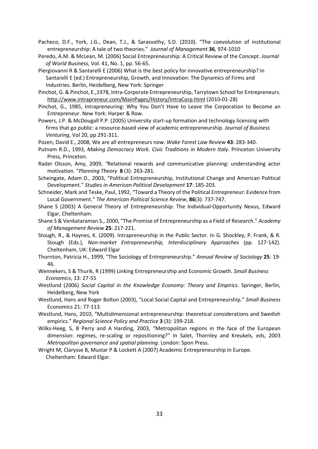- Pacheco, D.F., York, J.G., Dean, T.J., & Sarasvathy, S.D. (2010). "The coevolution of institutional entrepreneurship: A tale of two theories." *Journal of Management* **36**, 974-1010
- Peredo, A.M. & McLean, M. (2006) Social Entrepreneurship: A Critical Review of the Concept. *Journal of World Business*, Vol. 41, No. 1, pp. 56-65.
- Piergiovanni R & Santarelli E (2006) What is the best policy for innovative entrepreneurship? In Santarelli E (ed.) Entrepreneurship, Growth, and Innovation: The Dynamics of Firms and Industries. Berlin, Heidelberg, New York: Springer
- Pinchot, G. & Pinchot, E.,1978, Intra-Corporate Entrepreneurship, Tarrytown School for Entrepreneurs. http://www.intrapreneur.com/MainPages/History/IntraCorp.html (2010-01-28)
- Pinchot, G., 1985, Intrapreneuring: Why You Don't Have to Leave the Corporation to Become an Entrepreneur. New York: Harper & Row.
- Powers, J.P. & McDougall P.P. (2005) University start-up formation and technology licensing with firms that go public: a resource-based view of academic entrepreneurship. *Journal of Business Venturing*, Vol 20, pp 291-311.

Pozen, David E., 2008, We are all entrepreneurs now. *Wake Forest Law Review* **43**: 283-340.

- Putnam R.D., 1993, *Making Democracy Work. Civic Traditions in Modern Italy*. Princeton University Press, Princeton.
- Rader Olsson, Amy, 2009, *"*Relational rewards and communicative planning: understanding actor motivation. "*Planning Theory* **8** (3): 263-281.
- Scheingate, Adam D., 2003, "Political Entrepreneurship, Institutional Change and American Political Development." *Studies in American Political Development* **17**: 185-203.
- Schneider, Mark and Teske, Paul, 1992, "Toward a Theory of the Political Entrepreneur: Evidence from Local Government." *The American Political Science Review*, **86**(3): 737-747.
- Shane S (2003) A General Theory of Entrepreneurship: The Individual-Opportunity Nexus, Edward Elgar, Cheltenham.
- Shane S & Venkataraman S., 2000, "The Promise of Entrepreneurship as a Field of Research." *Academy of Management Review* **25**: 217-221.
- Stough, R., & Haynes, K. (2009). Intrapreneurship in the Public Sector. In G. Shockley, P. Frank, & R. Stough (Eds.), *Non-market Entrepreneurship, Interdisciplinary Approaches* (pp. 127-142). Cheltenham, UK: Edward Elgar
- Thornton, Patricia H., 1999, "The Sociology of Entrepreneurship." *Annual Review of Sociology* **25**: 19- 46.
- Wennekers, S & Thurik, R (1999) Linking Entrepreneurship and Economic Growth. *Small Business Economics*, 13: 27-55
- Westlund (2006) *Social Capital in the Knowledge Economy: Theory and Empirics*. Springer, Berlin, Heidelberg, New York
- Westlund, Hans and Roger Bolton (2003), "Local Social Capital and Entrepreneurship." *Small Business* Economics 21: 77-113.
- Westlund, Hans, 2010, "Multidimensional entrepreneurship: theoretical considerations and Swedish empirics." *Regional Science Policy and Practice* **3** (3): 199-218.
- Wilks-Heeg, S, B Perry and A Harding, 2003, "Metropolitan regions in the face of the European dimension: regimes, re-scaling or repositioning?" In Salet, Thornley and Kreukels, eds, 2003 *Metropolitan governance and spatial planning*. London: Spon Press.
- Wright M, Clarysse B, Mustar P & Lockett A (2007) Academic Entrepreneurship in Europe. Cheltenham: Edward Elgar.